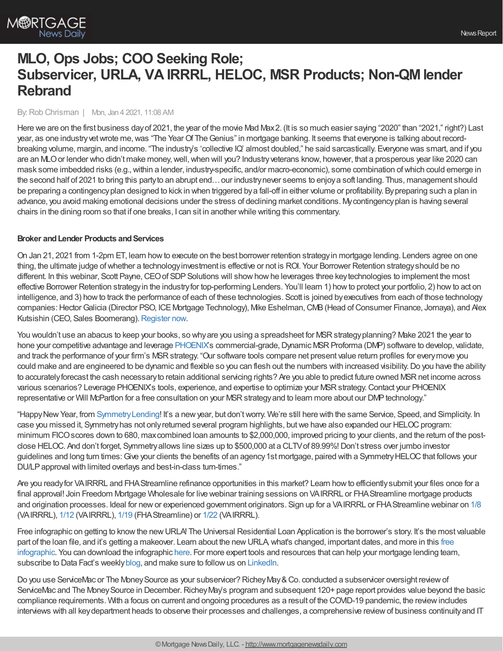# **MLO, Ops Jobs; COO Seeking Role; Subservicer, URLA, VA IRRRL, HELOC, MSR Products; Non-QMlender Rebrand**

### By:Rob Chrisman | Mon, Jan 4 2021, 11:08 AM

Here we are on the first business dayof 2021, the year of the movie Mad Max2. (It is so much easier saying "2020" than "2021," right?) Last year, as one industryvetwrote me,was "The YearOf TheGenius" in mortgage banking. It seems that everyone is talking about recordbreaking volume, margin, and income. "The industry's 'collective IQ' almost doubled," he said sarcastically. Everyone was smart, and if you are an MLO or lender who didn't make money, well, when will you? Industry veterans know, however, that a prosperous year like 2020 can mask some imbedded risks (e.g.,within a lender, industry-specific, and/or macro-economic), some combination ofwhich could emerge in the second half of 2021 to bring this partyto an abrupt end…our industrynever seems to enjoya soft landing. Thus, management should be preparing a contingencyplan designed to kick in when triggered bya fall-off in either volume or profitability. Bypreparing such a plan in advance, you avoid making emotional decisions under the stress of declining market conditions. Mycontingencyplan is having several chairs in the dining room so that if one breaks, I can sit in another while writing this commentary.

#### **Broker** and Lender Products and Services

On Jan 21, 2021 from 1-2pm ET, learn howto execute on the best borrower retention strategyin mortgage lending. Lenders agree on one thing, the ultimate judge ofwhether a technologyinvestment is effective or not is ROI. Your Borrower Retention strategyshould be no different. In this webinar, Scott Payne, CEO of SDP Solutions will show how he leverages three key technologies to implement the most effective Borrower Retention strategyin the industryfor top-performing Lenders. You'll learn 1) howto protect your portfolio, 2) howto act on intelligence, and 3) how to track the performance of each of these technologies. Scott is joined by executives from each of those technology companies: Hector Galicia (Director PSO, ICE Mortgage Technology), Mike Eshelman, CMB (Head of Consumer Finance, Jornaya), and Alex Kutsishin (CEO, Sales Boomerang). [Register](https://hubs.ly/H0D7NKt0) now.

You wouldn't use an abacus to keep your books, so why are you using a spreadsheet for MSR strategy planning? Make 2021 the year to hone your competitive advantage and leverage [PHOENIX'](https://www.phoenixtma.com/)s commercial-grade, Dynamic MSR Proforma (DMP) software to develop, validate, and track the performance of your firm's MSR strategy. "Our software tools compare net present value return profiles for every move you could make and are engineered to be dynamic and flexible so you can flesh out the numbers with increased visibility.Do you have the ability to accurately forecast the cash necessary to retain additional servicing rights? Are you able to predict future owned MSR net income across various scenarios? Leverage PHOENIX's tools, experience, and expertise to optimize your MSRstrategy.Contact your PHOENIX representative or Will McPartlon for a free consultation on your MSR strategy and to learn more about our DMP technology."

"Happy New Year, from Symmetry Lending! It's a new year, but don't worry. We're still here with the same Service, Speed, and Simplicity. In case you missed it, Symmetry has not only returned several program highlights, but we have also expanded our HELOC program: minimum FICO scores down to 680, max combined loan amounts to \$2,000,000, improved pricing to your clients, and the return of the postclose HELOC. And don't forget, Symmetry allows line sizes up to \$500,000 at a CLTV of 89.99%! Don't stress over jumbo investor guidelines and long turn times: Give your clients the benefits of an agency 1st mortgage, paired with a Symmetry HELOC that follows your DU/LP approval with limited overlays and best-in-class turn-times."

Are you readyfor VAIRRRL and FHAStreamline refinance opportunities in this market? Learn howto efficientlysubmit your files once for a final approval! Join Freedom Mortgage Wholesale for live webinar training sessions on VAIRRRL or FHAStreamline mortgage products and origination processes. Ideal for new or experienced government originators. Sign up for a VAIRRRL or FHA Streamline webinar on [1/8](https://freedom.zoom.us/j/82381616106) (VAIRRRL), [1/12](https://freedom.zoom.us/j/83277297157) (VAIRRRL), [1/19](https://freedom.zoom.us/j/82893172543) (FHAStreamline) or [1/22](https://freedom.zoom.us/j/85864312244) (VAIRRRL).

Free infographic on getting to knowthe newURLA! The Universal Residential Loan Application is the borrower's story. It's the most valuable part of the loan file, and it's getting a makeover. Learn about the [newURLA,what's](https://info.datafacts.com/download-getting-to-know-the-new-urla-infographic) changed, important dates, and more in this free infographic. You can download the infographic [here](https://info.datafacts.com/download-getting-to-know-the-new-urla-infographic). For more expert tools and resources that can help your mortgage lending team, subscribe to Data Fact's weekly [blog](https://www.datafacts.com/lendingsolutionsblog), and make sure to follow us on [LinkedIn.](https://www.linkedin.com/company/629022)

Do you use ServiceMac or The Money Source as your subservicer? Richey May & Co. conducted a subservicer oversight review of ServiceMac and The Money Source in December. Richey May's program and subsequent 120+ page report provides value beyond the basic compliance requirements. With a focus on current and ongoing procedures as a result of the COVID-19 pandemic, the reviewincludes interviews with all key department heads to observe their processes and challenges, a comprehensive review of business continuity and IT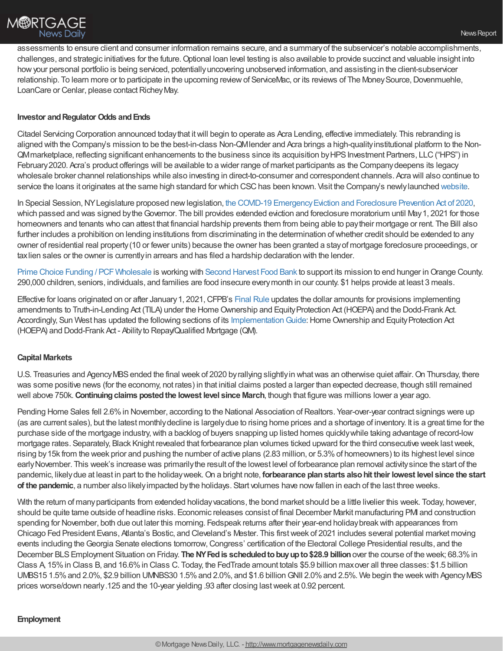assessments to ensure client and consumer information remains secure, and a summaryof the subservicer's notable accomplishments, challenges, and strategic initiatives for the future.Optional loan level testing is also available to provide succinct and valuable insight into howyour personal portfolio is being serviced, potentiallyuncovering unobserved information, and assisting in the client-subservicer relationship. To learn more or to participate in the upcoming review of ServiceMac, or its reviews of The Money Source, Dovenmuehle, LoanCare or Cenlar, please contact Richey May.

# **Investor and Regulator Odds and Ends**

Citadel Servicing Corporation announced todaythat itwill begin to operate as Acra Lending, effective immediately. This rebranding is aligned with the Company's mission to be the best-in-class Non-QMlender and Acra brings a high-qualityinstitutional platform to the Non-QMmarketplace, reflecting significant enhancements to the business since its acquisition byHPSInvestment Partners, LLC("HPS") in February2020. Acra's product offerings will be available to a wider range of market participants as the Companydeepens its legacy wholesale broker channel relationships while also investing in direct-to-consumer and correspondent channels. Acra will also continue to service the loans it originates at the same high standard for which CSC has been known. Visit the Company's newly launched [website](https://citadelservicing.com/).

In Special Session, NY Legislature proposed new legislation, the COVID-19 Emergency Eviction and Foreclosure Prevention Act of 2020, which passed and was signed by the Governor. The bill provides extended eviction and foreclosure moratorium until May 1, 2021 for those homeowners and tenants who can attest that financial hardship prevents them from being able to paytheir mortgage or rent. The Bill also further includes a prohibition on lending institutions from discriminating in the determination of whether credit should be extended to any owner of residential real property(10 or fewer units) because the owner has been granted a stayof mortgage foreclosure proceedings, or taxlien sales or the owner is currentlyin arrears and has filed a hardship declaration with the lender.

Prime Choice Funding / PCF Wholesale is working with Second [Harvest](https://www.yourfooddrive.org/drive.php?PCF) Food Bank to support its mission to end hunger in Orange County. 290,000 children, seniors, individuals, and families are food insecure everymonth in our county. \$1 helps provide at least 3 meals.

Effective for loans originated on or after January 1, 2021, CFPB's [Final](http://trk.cp20.com/click/4gri-2cdfcy-vytw7b-i4wd1l3/) Rule updates the dollar amounts for provisions implementing amendments to Truth-in-Lending Act (TILA) under the Home Ownership and Equity Protection Act (HOEPA) and the Dodd-Frank Act. Accordingly, Sun West has updated the following sections of its Implementation Guide: Home Ownership and Equity Protection Act (HOEPA) and Dodd-Frank Act - Abilityto Repay/Qualified Mortgage (QM).

## **Capital Markets**

U.S. Treasuries and Agency MBS ended the final week of 2020 by rallying slightly in what was an otherwise quiet affair. On Thursday, there was some positive news (for the economy, not rates) in that initial claims posted a larger than expected decrease, though still remained well above 750k.**Continuingclaims postedthe lowest level since March**, though that figure was millions lower a year ago.

Pending Home Sales fell 2.6% in November, according to the National Association of Realtors. Year-over-year contract signings were up (as are current sales), but the latest monthlydecline is largelydue to rising home prices and a shortage of inventory. It is a great time for the purchase side of the mortgage industry, with a backlog of buyers snapping up listed homes quickly while taking advantage of record-low mortgage rates. Separately, Black Knight revealed that forbearance plan volumes ticked upward for the third consecutive week lastweek, rising by15k from the week prior and pushing the number of active plans (2.83 million, or 5.3%of homeowners) to its highest level since earlyNovember. This week's increase was primarilythe result of the lowest level of forbearance plan removal activitysince the start of the pandemic, likelydue at least in part to the holidayweek.On a bright note, **forbearance planstarts alsohit their lowest level since the start of the pandemic**, a number also likelyimpacted bythe holidays. Start volumes have nowfallen in each of the last three weeks.

With the return of many participants from extended holiday vacations, the bond market should be a little livelier this week. Today, however, should be quite tame outside of headline risks. Economic releases consist of final December Markit manufacturing PMI and construction spending for November, both due out later this morning. Fedspeak returns after their year-end holidaybreakwith appearances from Chicago Fed President Evans, Atlanta's Bostic, and Cleveland's Mester. This firstweek of 2021 includes several potential market moving events including theGeorgia Senate elections tomorrow,Congress' certification of the Electoral College Presidential results, and the December BLSEmployment Situation on Friday. **The NYFedis scheduledtobuyupto\$28.9 billion**over the course of the week; 68.3%in Class A, 15%in Class B, and 16.6%in Class C. Today, the FedTrade amount totals \$5.9 billion maxover all three classes: \$1.5 billion UMBS15 1.5%and 2.0%, \$2.9 billion UMNBS30 1.5%and 2.0%, and \$1.6 billionGNII 2.0%and 2.5%. We begin the weekwith AgencyMBS prices worse/down nearly.125 and the 10-year yielding .93 after closing lastweek at 0.92 percent.

## **Employment**